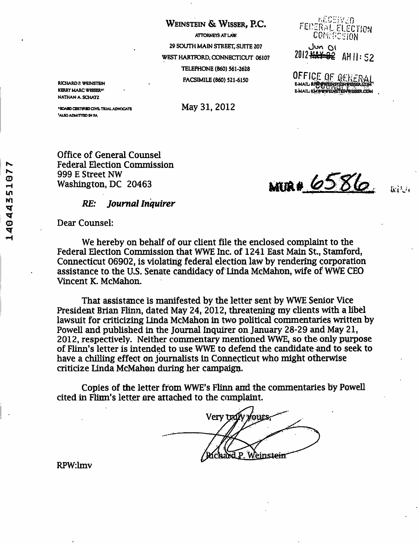## WEINSTEIN & WISSER, P.C.

ATTORNEYS AT LAW. 29 SOUTH MAIN STREET. SUITE 207 WEST HARTFORD, CONNECTIGUT 06107 TELEPHONE (860) 561-2628 FACSIMILE (860) 521-6150

RICHARD P. WEINSTEIN KERRY MARC WISSER\*' NATHAN A. SCHATZ

•OOAROCERTIINED CIVIL TKIAL ADVOCATE •ALSO ADMITTED IN PA

May 31, 2012

NECEIVED. FEDERAL ELECTION **CONTROSION** Jun Ol 2012 <del>MAY 32</del> AM 11: 52

OFFICE OF GENE  $E_{\rm max}$  . We exploit the  $\mathcal{E}$  $\mathcal{L}$  . The main indicate  $\mathcal{L}^{\text{max}}_{\text{max}}$  is a set that indicate a distance of

Office of General Counsel Federal Election Commission 999 E Street NW Washington, DC 20463

MUR# 6586

**Willie** 

*RE: Joumal Inquirer* 

Dear Counsel:

We hereby on behalf of our client file the enclosed complaint to the Federal Election Commission that WWE Inc. of 1241 East Main St., Stamford, Connecticut 06902, is violating federal election law by rendering corporation assistance to the U.S. Senate candidacy of Linda McMahon, wife of WWE CEO Vincent K. McMahon.

That assistance is manifested by the letter sent by WWE Senior Vice President Brian Flinn, dated May 24, 2012, threatening my clients with a libel lawsuit for criticizing Linda McMahon in two political commentaries written by Powell and published in the Journal Inquirer on January 28-29 and May 21, 2012, respectively. Neither commentary mentioned WWE, so the only purpose of Fhnn's letter is intended to use WWE to defend the candidate and to seek to have a chilling effect on journalists in Connecticut who might otherwise criticize Linda McMahon during her campaign.

Copies of the letter from WWE's Flinn and the commentaries by Powell cited in Flim's letter are attached to the complaint.

Very traw x **ours** P. Weinstein

RPW:lmv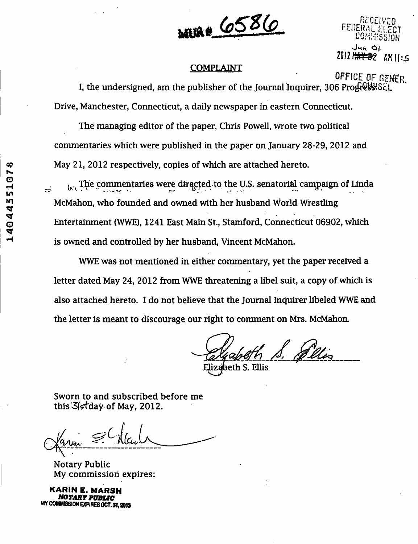MIRO 6586

## **COMPLAINT**

2012 N<del>AY 32</del> AM 11:5 OFFICE OF GENER.

نادة ١٤

I, the undersigned, am the publisher of the Journal Inquirer, 306 ProofcovsScL Drive, Manchester, Connecticut, a daily newspaper in eastern Connecticut.

The managing editor of the paper, Chris Powell, wrote two political commentaries which were published in the paper on January 28-29, 2012 and May 21, 2012 respectively, copies of which are attached hereto.

2 in the commentaries were directed to the U.S. senatorial campaign of Linda<br>
2 McMahon, who founded and owned with her husband World Wrestling<br>
2 Entertainment (WWE), 1241 East Main St., Stamford, Connecticut 06902, which ^ McMahon, who founded and owned with her husband World Wrestling 0 Entertainment (WWE), 1241 East Main St., Stamford, Connecticut 06902, which is owned and controlled by her husband, Vincent McMahon.

> WWE was not mentioned in either commentary, yet the paper received a letter dated May 24, 2012 from WWE threatening a libel suit, a copy of which is also attached hereto. I do not believe that the Journal Inquirer libeled WWE and the letter is meant to discourage our right to comment on Mrs. McMahon.

Elizabeth S. Ellis

Sworn to and subscribed before me this  $\mathcal{S}/\mathcal{S}/d$ day of May, 2012.

Notary Public My commission expires:

**KARIN E. MARSH nOTART PUBUC**  MY COMMISSION EXPIRES OCT. 31, 2013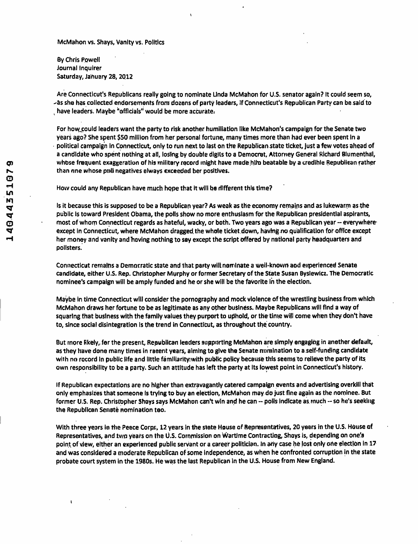**McMahon vs. Shays, Vanity vs. Politics** 

**By Chris Powell Journal Inquirer Saturday, January 28, 2012** 

 $\mathbf{t}$ 

**Are Connecticut's Republicans reaiiy going to nominate Linda McMahon for U.S. senator again? it couid seem so, •'ds she has collected endorsements from dozens of party leaders, if Connecticut's Republican Party can be said to**  have leaders. Maybe "officials" would be more accurate.

For how could leaders want the party to risk another humiliation like McMahon's campaign for the Senate two **years ago? She spent \$50 million from her personai fortune, many times more than had ever been spent in a political campaign in Connecticut, only to run next to last on the Republican state ticket, just a few votes ahead of a candidate who spent nothing at ail, losing by double digits to a Democrat, Attorney Generai Richard Blumenthal, gn** whose frequent exaggeration of his military record might have made him beatable by a credible Republican rather than one whose poil negatives always exceeded her positives.

**^ How could any Republican have much hope that it wiil be different this time?** 

Is it because this is supposed to be a Republican year? As weak as the economy remains and as lukewarm as the **^ public is toward President Obama, the polls show no more enthusiasm fbr the Republican presidentiai aspirants, P most of whom Connecticut regards as hateful, wacicy, or both. Two years ago was a Republican year - everywhere except in Connecticut, where McMahon dragged, the whole ticicet down, having no qualification for office except**  her money and vanity and having nothing to say except the script offered by national party haadquarters and **pollsters.** 

Connecticut remains a Democratic state and that party will nominate a weil-known and experienced Senate **candidate, either U.S. Rep. Christopher Murphy or former Secretary ofthe State Susan Bysiewicz. The Democratic nominee's campaign wiii be amply funded and he or she will be the favorite ih the election.** 

**Maybe in time Connecticut will consider the pornography and mock violence ofthe wrestling business from which McMahon draws her fortune to be as legitimate as any other business. Maybe Republicans will find a way of squaring that business with the family values they purport to uphold, or the time will come when they don't have to, since social disintegration is the trend in Connecticut, as throughout the country.** 

**But more likely,.for the present. Republican leaders supporting McMahon are simply engaging in another default, as they have done many times in recent years, aiming to give the Senate nomination to a self-funding candidate**  with no record in public life and little familiarity with public policy because this seems to relieve the party of its own responsibility to be a party. Such an attitude has left the party at its lowest point in Connecticut's history.

**If Republican expectations are no higher than extravagantly catered campaign events and advertising overkill thait only emphasizes that someone is trying to buy an election, McMahon may do just fine again as the nominee. But**  former U.S. Rep. Christopher Shays says McMahon can't win and he can -- polls indicate as much -- so he's seeking **the Republican Senate nomination too.** 

With three years in the Peace Corps, 12 years in the state House of Representatives, 20 years in the U.S. House of **Representatives, and two yiears on the U.S. Commission on Wartime Contracting, Shays is, depending on one!s**  point of view, either an experienced public servant or a career politician. In any case he lost only one election in 17 and was considered a moderate Republican of some independence, as when he confronted corruption in the state **probate court system in the 1980s. He was the last Republican in the U.S. House from New England.**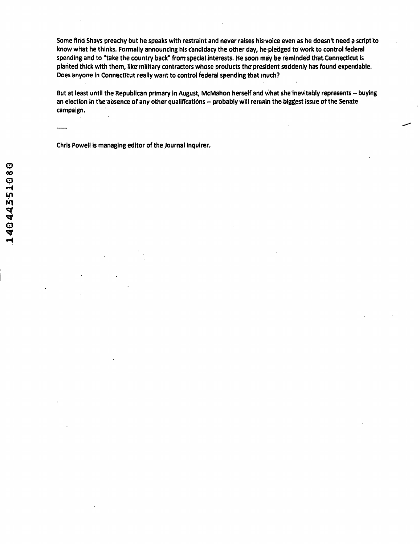**Some find Shays preachy but he speaks with restraint and never raises his voice even as he doesn't need a script to know what he thinks. Formally announcing his candidacy the other day, he pledged to work to control federal**  spending and to "take the country back" from special interests. He soon may be reminded that Connecticut is **planted thick with them, like military contractors whose products the president suddenly has found expendable. Does anyone in Connecticut reaiiy want to control federal spending that much?** 

**But at least until the Republican primary In August, McMahon herself and what she inevitably represents - buying an eiectibn in the absence of any other qualifications - probably will remain the biggjest issue ofthe Senate campaign.** 

 $\cdots$ 

**Chris Powell is managing editor of the Journal inquirer.**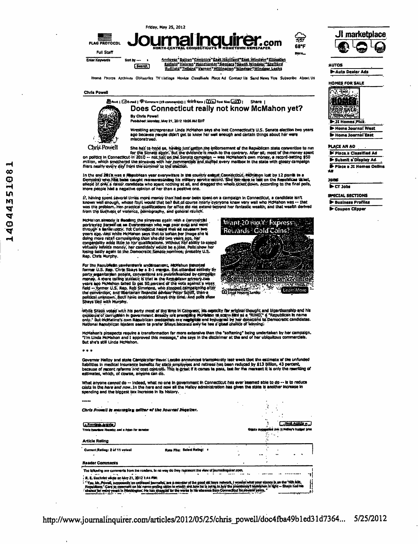$\blacksquare$  $[Search]$ 



**Full Staff** 

**Enter Keywords** Sort by -

NORTH-CENTRAL COHMEe.riCUT'& • NOMeTQWN NEWSPA NOMeTOWN NSWSPAPER. Andever\*Britten-Cowentry\*East Hörtford\*Elst Windsor \*Ellington<br>Enfindlertheim Mandriasthr Seniers\*Sabeth Windsor\*Staffard<br><u>Suffleld\*TnMand\*Varnen\*Willington-Windsor\*Windsor Locks</u>

Home Photos Archivas Obituurles TV i.lstings Movkis Classifieds Place Ad Contacr Us Send News Tips Subscribe About Us

**Journal Inquirer. com** 

Chris Powell



 $B$  $\rho_{\text{int}}$  ( $B$ 8-meil |  $\Phi$  Comment (19 comment(s)) |  $\pi$ x $\pi$  sere |  $\Omega$ III<sup>3</sup> Text Size  $\Omega$ III<sup>3</sup> | Share | Does Connecticut really not know McMahon yet?

> By Chris Powall PuMthad-. Monday. Mny 31.2013 10:03 AI.1 EOT

Wrestling entrepreneur Unda McMahon says she lost Connecticut's U.S. Senate election two years ago because people didn't get to know her well enough and certain things about her were misconstrued.

C.I.I.T.; FOWCH She has to hone se, having just cannon the endorsement of the Rapsolican state convention to rm<br>for the Sonate agein. But the evidence is much to the contrary. After all, most of the money spant<br>on politics

In the end 2011 was 0 Albout/Hean year everywhere in the sountry animat Conviection. Pichamon loat by 12 points to a<br>Demuing who high bines campint mensemisehiling his military service micond. She fen mans to isst on the R

If, having spent several limes more money than had:ever been spent on a campaign in Connecticut, a candidate isn't known well enough, whose foult would that be? But of course nearly cyoryone knew very well who McMahon was -- that<br>was the problem, Her practical qualifications for office did not extend beyond her fantastic wealth, and th from the business of violence, pornography, and gonoral raunch.

McMalion.aiready is illeoding the structures again with a communicial comparison in the communication of the communication of the property in the property in the property in the property in the property of the property of

For the RapubWellin uswiesiden's andlinsement, Mickishun bisuated<br>former U.S. Riip. Chris Shars by a 2-1 mingia, Bist ottended eelthely by<br>party expantation people, conventions are ovirinfluanced by campalini<br>money. A mere years ago McMahon falled to get 50 percent of the vota against a weak<br>field -- former U.S. Rep. Rob Simmons, who stopped campaigning after<br>the convention, and libertarian financial eaviser Peter Schilf, then a<br>political un Shays'tied with Murphy.'



.While Shays voted with his porty most of the firm in Conguess, its organity for eriginal thought and bipartisanship and his<br>exposule of currigation in government aready wit premities McPhillin (will reality in its a "RINO

McMahon's prospects require a transformation far more extensive than the "softening" being undertaken by her campaign.<br>"I'm Linda McMahon and I approved this message," she says in the disclaimer at the end of her ubiquitou But she's still Unda McMahon.

...

Governor Halby and state Camparoller Hevin' Lerobo announced triumpliously last week that the satimate of the unfunded<br>llabilities in medical insurance benefits for state employees and ratirees has been reduced by \$13 bill estimates, which, or course, anyone can do.

What anyone *cannot* do -- indeed, what no one in government in Connecticut has ever seemed able to do -- is to reduce<br>costs in the *here and now.* In the here and now all the Malloy administration has given the state is a spending and the biggest tax increase in its history.

| Chris Powell is manifelia aditor of the Journal Ingelier.                                                                                                                                                                                                                                                                                                                                                                                                                                                                                                                             |  |                                                   |
|---------------------------------------------------------------------------------------------------------------------------------------------------------------------------------------------------------------------------------------------------------------------------------------------------------------------------------------------------------------------------------------------------------------------------------------------------------------------------------------------------------------------------------------------------------------------------------------|--|---------------------------------------------------|
| Previsiti Article<br>Trivia hundiau Voeselc; ami a fejan for senator                                                                                                                                                                                                                                                                                                                                                                                                                                                                                                                  |  | Gregore suggeschon bein by Mellery's busigen John |
| <b>Article Rating</b>                                                                                                                                                                                                                                                                                                                                                                                                                                                                                                                                                                 |  |                                                   |
| Rate File: Select Rating: #<br>Current Rating: 2 of 11 votes!                                                                                                                                                                                                                                                                                                                                                                                                                                                                                                                         |  |                                                   |
| <b>Reader Comments</b>                                                                                                                                                                                                                                                                                                                                                                                                                                                                                                                                                                |  |                                                   |
| The following are comments from the readers, in no way do they represent the view of journalinguirer com.<br>$R$ , E. Gechnet vikto on May 21, 2012 1:44 PM;<br>You, Mr. Powell, supposedly on unbleasd journalist, are a momber of the good old boys network, I wonder what your stance is on the "fich Mid,<br>Republican," Care to comment on his never-ending cloim to wealth and how he is tring to buy the presidency? McMahen is right - Shays had his<br>chance for many yours in Washington. He has changed for the wores in his absence from Connecticut for reveral years. |  |                                                   |



AUTOS

68'F inoia\_

l^-Auto Dealer Ads



A Highl **D.JI Homes Plus** 

Mome Journal West. **1** Home Journal East

PLACE AN AD

**I** Place a Classified Ad Submit a Display Ad-Place a JI Homes Online

## Ad

JOBS ^CTJobs

SPECIAL SECTIONS • Business Profiles

Coupon Clipper

 $\infty$ O  $\rightarrow$ LO Wl

Q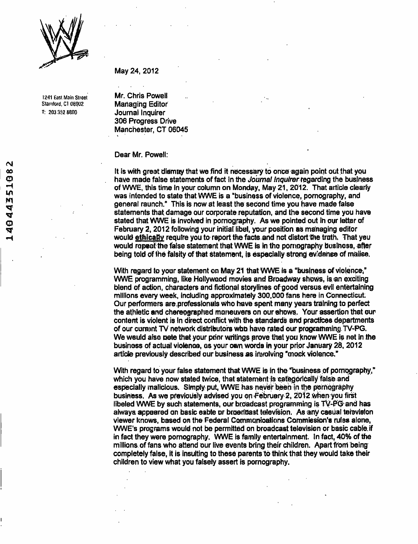

**East Main Street** 

**May 24, 2012** 

**Mr. Chris Powell**  Stamford, CT 06902 **Managing Editor Managing Editor T**: 203 352 8600 **Journal Inquirer 306 Progress Drive Manchester, CT 06045** 

## **Dear Mr. Powell:**

**It is with great dismay that we find it necessary to once again point out that you P** have made false statements of fact in the Journal Inquirer regarding the business of WWE, this time in your column on Monday, May 21, 2012. That article clearly **of WWE, this time in your column on Monday, May 21, 2012. That article cieariy**  Was intended to state that WWE is a "business of violence, pornography, and<br>general raunch." This is now at least the second time you have made false<br>statements that damage our corporate reputation, and the second time you **\2. general raunch." This is now at least the second time you have made false statements that, damage our corporate reputation, and the second time you have p stated that WWE is involved in pornography. As we pointed out ih our letter of ^ February 2,2012 following your initial libel, your position as managing editor**  would ethically require you to report the facts and not distort the truth. That you **would repeat the fialse statement that WWE is in the pornography business, after being told df the falsity of that statement, is especially strong evidence of malice.** 

> With regard to your statement on May 21 that WWE is a "tausiness of violence," **WWE programming, liice Hollywood movies and Broadway shows, is an exciting**  blend of action, characters and fictional storylines of good versus evil entertaining **millions every weei<, including approximately 300,000 fans here in Connecticut: Our performers are .professionals who have spent many years training to perfect the athletic and choreographed maneuvers on our shows. Your assertion that our content is violent is in direct conflict with the standards and practices departments of our current TV network distributors who have rated our programming. TV-PG.**  We would also note that your prior writings prove that you know WWE is not in the **business of actual violence, as your own words in your prior January 28,2012 articlie previously described our business as involving "mock violence,"**

> **With regard to your false statement that WWE is in the "business of pomqgraphy,"**  which you have now stated twice, that statement is categorically false and **especially malicious. Simpiy put, WWE has neyeir been In the pornography**  business. As we previously advised you on February 2, 2012 when you first libeled WWE by such statements, our broadcast programming is TV-PG and has **always appeared on basic cable or broadcast television. As any casual television viewer knows, based on the Federal Communications Commission's rules aione, WWE's programs would not be permitted on broadcast television or basic cable, if in fact they were pornography. WWE Is family entertainment. In fact, 40% of the millions of fans who attend our live events bring their children. Apart from being completely false, it is insulting to these parents to think that they would take their children to view what you falsely assert is pornography.**